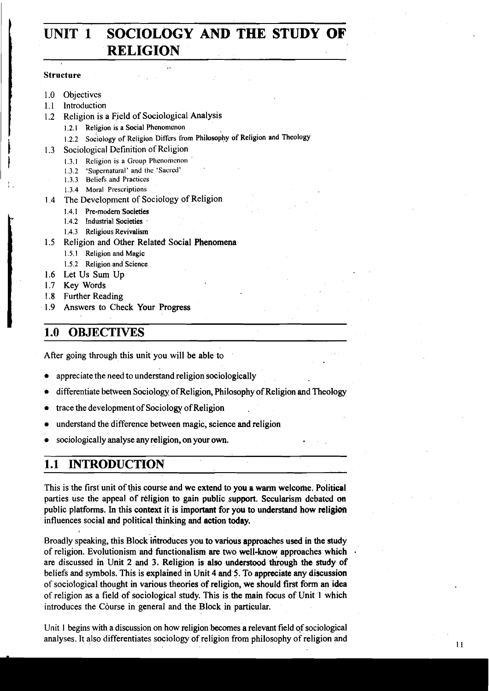# **UNIT 1 SOCIOLOGY AND THE STUDY OF**  <sup>j</sup>**RELIGION** ..

#### Structure

- 1.0 Objectives
- 1.1 Introduction
- 1.2 Religion is a Field of Sociological Analysis
	- **1.2.1 Religion is a Social Phcnonicnon**
	- 1.2.2 Sociology of Religion Differs from Philosophy of Religion and Theology Sociological Definition of Religion
- 
- 1.3 Sociological Definition of Religion<br>1.3.1 Religion is a Group Phenomenon<br>1.3.2 'Supernatural' and the 'Sacred' **1.3.1 Religion is a Group Phenomenon** 
	- 1.3.2 'Supernatural' and the 'Sacred'
	- 1.3.3 Beliefs and Practices
	- **1.3.4 Moral Prescriptions**
	- 1 4 The Development of Sociology of Religion
		- **1.4.1 Pre-modern Societies**
		- **1.4.2 Industrial Societies**
		- **1.4.3 Religious Revivalism**
	- 1.5 Religion and Other Related Social Phenomena
		- **1.5.1 Religion and Magic**
		- **1.5.2 Religion and Science**
	- 1.6 Let Us Sum Up
	- 1.7 Key Words
	- 1.8 Further Reading
	- 1.9 Answers to Check Your Progress

# **1.0 OBJECTIVES**

After going through this unit you will be able to

- appreciate the need to understand religion sociologically
- differentiate between Sociology of Religion, Philosophy of Religion and Theology
- trace the development of Sociology ofReligion
- understand the difference between magic, science and religion
- sociologically analyse any religion, on your own.

# **1.1 INTRODUCTION**

This is the first unit of this course and we extend to you a warm welcome. Political parties use the appeal of religion to gain public support. Secularism debated on public platforms. In this context it is important for you to understand how religion influences social and political thinking and action today.

Broadly speaking, this Block ihroduces you to various approaches used in the **study**  of religion. Evolutionism and functionalism are two well-know approaches which are discussed in Unit 2 and 3. Religion is also understood through the study of beliefs and symbols. This is explained in Unit 4 and 5. To appreciate any discussion of socioiogical thought in various theories of religion, we should first form an idea of religion as a field of sociological study. This is the main focus of Unit 1 which introduces the Course in general and the Block in particular.

Unit **1** begins with a discussion on how religion becomes a relevant field of sociological analyses. It also differentiates sociology of religion from philosophy of religion and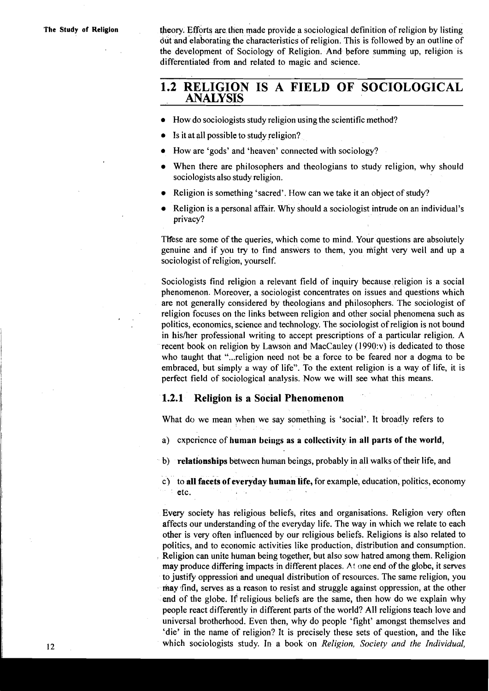**The Study of Religion** theory. Efforts are then made provide a sociological definition of religion by listing out and elaborating the characteristics of religion. This is followed by an outline of the development of Sociology of Religion. And before summing up, religion is differentiated from and related to magic and science.

# **1.2 RELIGION IS A FIELD OF SOCIOLOGICAL ANALYSIS**

- How do sociologists study religion using the scientific method?
- Is it at all possible to study religion?
- How are 'gods' and 'heaven' connected with sociology?
- When there are philosophers and theologians to study religion, why should sociologists also study religion.
- Religion is something 'sacred'. How can we take it an object of study?
- Religion is a personal affair. Why should a sociologist intrude on an individual's privacy?

Ttfese are some of the queries, which come to mind. Your questions are absolutely genuine and if you try to find answers to them, you might very well and up a sociologist of religion, yourself.

Sociologists find religion a relevant field of inquiry because religion is a social phenomenon. Moreover, a sociologist concentrates on issues and questions which are not generally considered by theologians and philosophers. The sociologist of religion focuses on the links between religion and other social phenomena such as politics, economics, science and technology. The sociologist of religion is not bound in his/her professional writing to accept prescriptions of a particular religion. A recent book on religion by Lawson and MacCauley  $(1990; v)$  is dedicated to those who taught that "...religion need not be a force to be feared nor a dogma to be embraced, but simply a way of life". To the extent religion is a way of life, it is perfect field of sociological analysis. Now we will see what this means.

### **1.2.1 Religion is a Social Phenomenon**

What do we mean when we say something is 'social'. It broadly refers to

a) cxpcricnce of human beings as a collectivity in all parts of the world,

b) relationships between human beings, probably in all walks of their life, and

c) to all facets of everyday human life, for example, education, politics, economy etc.

Every society has religious beliefs, rites and organisations. Religion very often affects our understanding of the everyday life. The way in which we relate to each other is very often influenced by our religious beliefs. Religions is also related to politics, and to economic activities like production, distribution and consumption. Religion can unite human being together, but also sow hatred among them. Religion may produce differing impacts in different places. At one end of the globe, it serves to justify oppression and unequal distribution of resources. The same religion, you may .find, serves as a reason to resist and struggle against oppression, at the other end of the globe. 1f religious beliefs are the same, then how do we explain why people react differeritly in different parts of the world? All religions teach love and universal brotherhood. Even then, why do people 'fight' amongst themselves and 'die' in the name of religion? It is precisely these sets of question, and the like which sociologists study. In a book on *Religion, Society and the Individual,*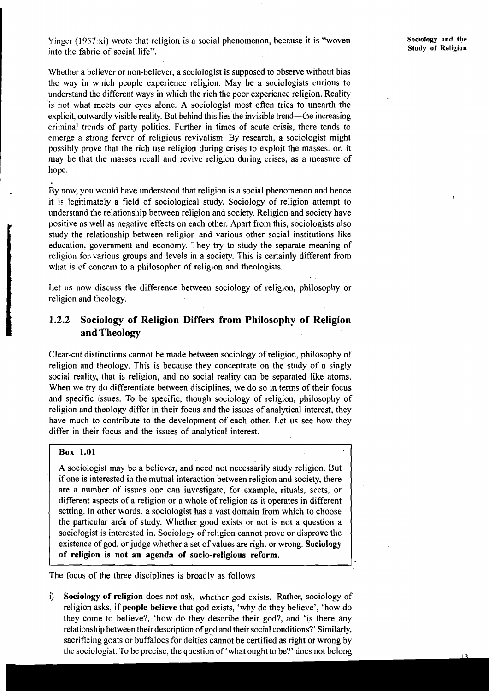Yinger **(l957:xi)** wrote that religion is a social phenomenon, because it is "woven into the fabric of social life".

Whether a believer or non-believer, a sociologist is supposed to observe without bias the way in which people experience religion. May be a sociologists curious to understand the different ways in which the rich the poor experience religion. Reality is not what meets our eyes alone. A sociologist most often tries to unearth the explicit, outwardly visible reality. But behind this lies the invisible trend—the increasing criminal trends of party politics. Further in times of acute crisis, there tends to emerge a strong fervor of religious revivalism. By research, a sociologist might possibly prove that the rich use religion during crises to exploit the masses. or, it may be that the masses recall and revive religion during crises, as a measure of hope.

By now, you would have understood that religion is a social phenomenon and hence it is legitimately a field of sociological study. Sociology of religion attempt to understand the relationship between religion and society. Religion and society have positive as well as negative effects on each other. Apart from this, sociologists also study the relationship between religion and various other social institutions like education, government and economy. They try to study the separate meaning of religion for.various groups and levels in a society. This is certainly different from what is of concern to a philosopher of religion and theologists.

Let us now discuss the difference between sociology of religion, philosophy or religion and theology.

# 1.2.2 **Sociology of Religion Differs from Philosophy of Religion and Theology**

Clear-cut distinctions cannot be made between sociology of religion, philosophy of religion and theology. This is because they concentrate on the study of a singly social reality, that is religion, and no social reality can be separated like atoms. When we try do differentiate between disciplines, we do so in terms of their focus and specific issues. To be specific, though sociology of religion, philosophy of religion and theology differ in their focus and the issues of analytical interest, they have much to contribute to the development of each other. Let us see how they differ in their focus and the issues of analytical interest.

## **Box 1.01**

 $\vert$ 

 $\overline{\phantom{a}}$ 

**A** sociologist may be a believer, and need not necessarily study religion. But if one is interested in the mutual interaction between religion and society, there are a number of issues one can investigate, for example, rituals, sects, or different aspects of a religion or a whole of religion as it operates in different setting. In other words, a sociologist has a vast domain from which to choose the particular area of study. Whether good exists or not is not a question a sociologist is interested in. Sociology of religion cannot prove or disprove the existence of god, or judge whether a set of values are right or wrong. **Sociology of religion is not an agenda of socio-religious reform.** 

The focus of the three disciplines is broadly as follows

i) **Sociology of religion** does not ask, whcthcr god cxists. Rather, sociology of religion asks, if **people believe** that god exists, 'why do they believe', 'how do they come to believe?, 'how do they describe their god?, and 'is there any relationship between their description of god and their social conditions?' Similarly, sacrificing goats or buffaloes for deities cannot be certified as right or wrong by the sociologist. To be precise, the question of 'what ought to be?' does not belong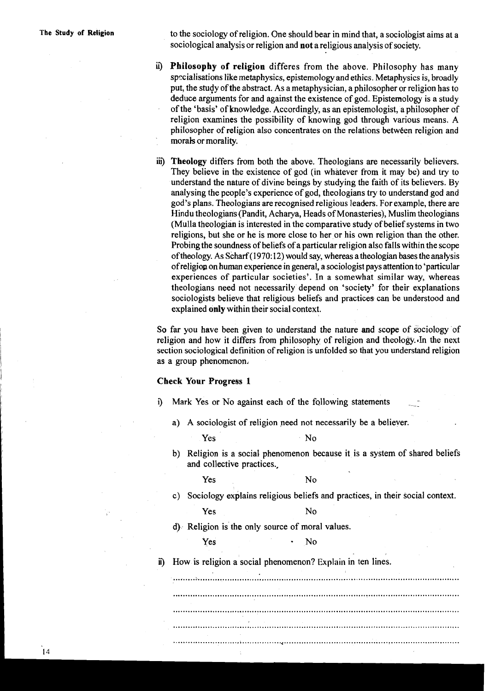**The Study of Religion** to the sociology of religion. One should bear in mind that, a sociologist aims at a sociological anabsis or religion and **not** a religious analysis of society.

- **ii) Philosophy of religion** differes from the above. Philosophy has many specialisations like metaphysics, epistemology and ethics. Metaphysics is, broadly put, the study of the abstract. As a metaphysician, a philosopher or religion has to deduce arguments for and against the existence of god. Epistemology is a study of the 'basis' of knowledge. Accordingly, as an epistemologist, a philosopher of religion examines the possibility of knowing god through various means. A philosopher of religion also concentrates on the relations between religion and morak or morality.
- **iii) Theology** differs from both the above. Theologians are necessarily believers. They believe in the existence of god (in whatever from it may be) and try to understand the nature of divine beings by studying the faith of its believers. By analysing the people's experience of god, theologians try to understand god and god's plans. Theologians are recognised religious leaders. For example, there are Hindu theologians(Pandit, Acharya, Heads of Monasteries), Muslim theologians (Mulla theologian is interested in the comparative study of belief systems in two religions, but she or he is more close to her or his own religion than the other. Probing the soundness of beliefs of a particular religion also falls within the scope oftheology. As Scharf (1970: 12) would say, whereas atheologian bases the analysis ofreligion on human experience in general, a sociologist pays attention to 'particular experiences of particular societies'. In a somewhat similar way, whereas theologians need not necessarily depend on 'society' for their explanations sociologists believe that religious beliefs and practices can be understood and explained **only** within their social context.

So far you have been given to understand the nature and scope of sociology of religion and how it differs from philosophy of religion and theology. In the next section sociological definition of religion is unfolded so that you understand religion as a group phenomenon.

#### **Check Your Progress 1**

- i) Mark Yes or No against each of the following statements
	- a) A sociologist of religion peed not necessarily be a believer.

Yes No

b) Religion is a social phenomenon because it is a system of shared beliefs and collective practices.,

Yes No

c) Sociology explains religious beliefs and practices, in their social context.

Yes No

d) Religion is the only source of moral values.

Yes • No

**ii)** How is religion a social phenomenon? **Explain** in ten lines.

.............................................. ....................................................................... .................................................................................................................... .................................................................................................................... .................................................................................................................... ...........................,................<..........................................?............................

14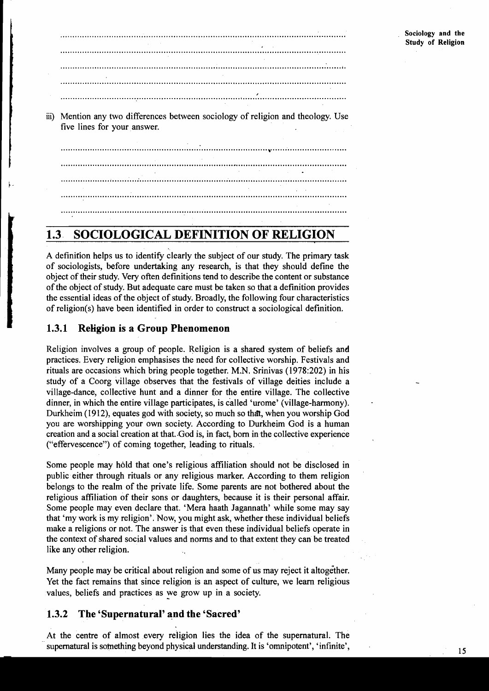| iii) Mention any two differences between sociology of religion and theology. Use<br>five lines for your answer. |  |  |  |
|-----------------------------------------------------------------------------------------------------------------|--|--|--|
|                                                                                                                 |  |  |  |
|                                                                                                                 |  |  |  |
|                                                                                                                 |  |  |  |
|                                                                                                                 |  |  |  |
|                                                                                                                 |  |  |  |
|                                                                                                                 |  |  |  |

# **1.3 SOCIOLOGICAL DEFINITION OF RELIGION**

A definition helps us to identify clearly the subject of our study. The primary task of sociologists, before undertaking any research, is that they should define the object of their study. Very often definitions tend to describe the content or substance of the object of study. But adequate care must be taken so that a definition provides the essential ideas of the object of study. Broadly, the following four characteristics of religion(s) have been identified in order to construct a sociological definition.

# **1.3.1 Religion is a Group Phenomenon**

Religion involves a group of people. Religion is a shared system of beliefs and practices. Every religion emphasises the need for collective worship. Festivals and rituals are occasions which bring people together. M.N. Srinivas (1978:202) in his study of a Coorg village observes that the festivals of village deities include a village-dance, collective hunt and a dinner for the entire village. The collective dinner, in which the entire village participates, is called 'urome' (village-harmony). Durkheim (1912), equates god with society, so much so thdt, when you worship God you are worshipping your own society. According to Durkheim God is a human creation and a social creation at that. God is, in fact, born in the collective experience ("effervescence") of coming together, leading to rituals.

Some people may hold that one's religious affiliation should not be disclosed in public either through rituals or any religious marker. According to them religion belongs to the realm of the private life. Some parents are not bothered about the religious affiliation of their sons or daughters, because it is their personal affair. Some people may even declare that. 'Mera haath Jagannath' while some may say that 'my work is my religion'. Now, you might ask, whether these individual beliefs make a religions or not. The answer is that even these individual beliefs operate in the context of shared social values and norms and to that extent they can be treated like any other religion.

Many people may be critical about religion and some of us may reject it altogether. Yet the fact remains that since religion is an aspect of culture, we learn religious values, beliefs and practices as we grow up in a society.

# **1.3.2 The 'Supernatural' and the 'Sacred'**

At the centre of almost every religion lies the idea of the supernatural. The supernatural is something beyond physical understanding. It is 'omnipotent', 'infinite',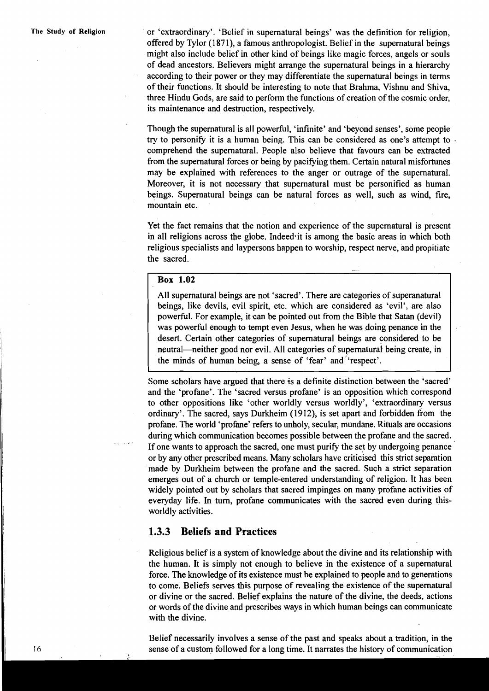**The Study of Religion** or 'extraordinary'. 'Belief in supernatural beings' was the definition for religion, offered by Tylor (1871), a famous anthropologist. Belief in the supernatural beings might also include belief in other kind of beings like magic forces, angels or souls of dead ancestors. Believers might arrange the supernatural beings in a hierarchy according to their power or they may differentiate the supernatural beings in terms of their functions. It should be interesting to note that Brahma, Vishnu and Shiva, three Hindu Gods, are said to perform the functions of creation of the cosmic order, its maintenance and destruction, respectively.

> Though the supernatural is all powerfid, 'infinite' and 'beyond senses', some people try to personify it is a human being. This can be considered as one's attempt to comprehend the supernatural. People also believe that favours can be extracted from the supernatural forces or being by pacifying them. Certain natural misfortunes may be explained with references to the anger or outrage of the supernatural. Moreover, it is not necessary that supernatural must be personified as human beings. Supernatural beings can be natural forces as well, such as wind, fire, mountain etc.

> Yet the fact remains that the notion and experience of the supernatural is present in all religions across the globe. Indeed it is among the basic areas in which both religious specialists and laypersons happen to worship, respect nerve, and propitiate the sacred.<br> $\frac{1}{\sqrt{1-\frac{1}{\sqrt{1-\frac{1}{\sqrt{1-\frac{1}{\sqrt{1-\frac{1}{\sqrt{1-\frac{1}{\sqrt{1-\frac{1}{\sqrt{1-\frac{1}{\sqrt{1-\frac{1}{\sqrt{1-\frac{1}{\sqrt{1-\frac{1}{\sqrt{1-\frac{1}{\sqrt{1-\frac{1}{\sqrt{1-\frac{1}{\sqrt{1-\frac{1}{\sqrt{1-\frac{1}{\sqrt{1-\frac{1}{\sqrt{1-\frac{1}{\sqrt{1-\frac{1}{\sqrt{1-\frac{1}{\sqrt{1-\frac{1}{\sqrt{1-\frac{1}{\sqrt{1-\frac{1}{\sqrt{1-\$

#### **Box 1.02**

All supernatural beings are not 'sacred'. There are categories of superanatural beings, like devils, evil spirit, etc. which are considered as 'evil', are also powerful. For example, it can be pointed out from the Bible that Satan (devil) was powerful enough to tempt even Jesus, when he was doing penance in the desert. Certain other categories of supernatural beings are considered to be neutral—neither good nor evil. All categories of supernatural being create, in the minds of human being, a sense of 'fear' and 'respect'.

Some scholars have argued that there is a definite distinction between the 'sacred' and the 'profane'. The 'sacred versus profane' is an opposition which correspond to other oppositions like 'other worldly versus worldly', 'extraordinary versus ordinary'. The sacred, says Durkheim (1912), is set apart and forbidden from the <sup>I</sup>profane. The world 'profane' refers to unholy, secular, mundane. Rituals are occasions during which communication becomes possible between the profane and the sacred. If one wants to approach the sacred, one must purify the set by undergoing penance l or by any other prescribed means. Many scholars have criticised this strict separation made by Durkheim between the profane and the sacred. Such a strict separation emerges out of a church or temple-entered understanding of religion. It has been widely pointed out by scholars that sacred impinges on many profane activities of everyday life. In turn, profane communicates with the sacred even during thisworldly activities.

# 1: **1.3.3 Beliefs and Practices**

Religious belief is a system of knowledge about the divine and its relationship with the human. It is simply not enough to believe in the existence of a supernatural force. The knowledge of its existence must be explained to people and to generations to come. Beliefs serves this purpose of revealing the existence of the supernatural or divine or the sacred. Belief explains the nature of the divine, the deeds, actions or words of the divine and prescribes ways in which human beings can communicate with the divine.

Belief necessarily involves a sense of the past and speaks about a tradition, in the sense of a custom followed for a long time. It narrates the history of communication

 $16$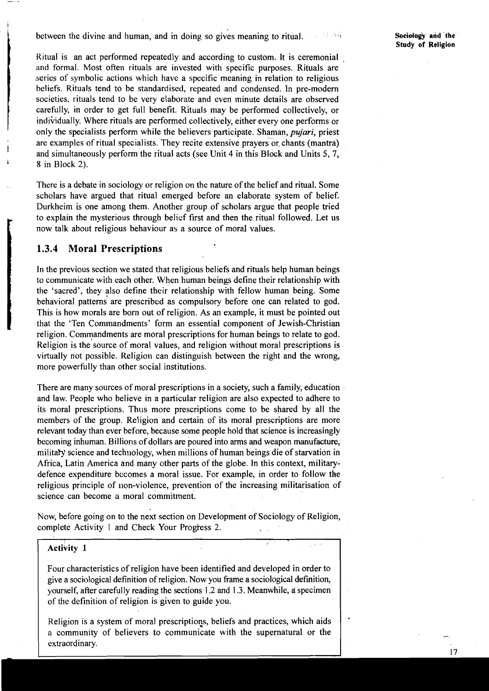between the divine and human, and in doing so gives meaning to ritual.

Ritual is an act performed repeatedly and according to custom. It is ceremonial and formal. Most often rituals are invested with specific purposes. Rituals are series of symbolic actions which have a specific meaning in relation to religious beliefs. Rituals tend to be standardised, repeated and condensed. In pre-modern societies, rituals tend to be very elaborate and even minute details are observed carefully, in order to get full benefit. Rituals may be performed collectively, or individually. Where rituals are performed collectively, either every one performs or only the specialists perform while the believers participate. Shaman, **pujari,** priest are examples of ritual specialists. They recite extensive prayers or chants (mantra) and simultaneously perform the ritual acts (see Unit 4 in this Block and Units 5, 7, **<sup>L</sup>**8 in Block 2).

There is a debate in sociology or religion on the nature of the belief and ritual. Some scholars have argued that ritual emerged before an elaborate system of belief. Durkheim is one among them. Another group of scholars argue that people tried to explain the mysterious through belief first and then the ritual followed. Let us now talk about religious behaviour as a source of moral values.

# **1.3.4 Moral Prescriptions**

In the previous section we stated that religious beliefs and rituals help human beings to communicate with each other. When human beings define their relationship with the 'sacred', they also define their relationship with fellow human being. Some behavioral patterns' are prescribed as compulsory before one can related to god. This is how morals are born out of religion. As an example, it must be pointed out that the 'Ten Commandments' form an essential component of Jewish-Christian religion. Commandments are moral prescriptions for human beings to relate to god. Religion is the source of moral values, and religion without moral prescriptions is virtually not possible. Religion can distinguish between the right and the wrong, more powerfully than other social institutions.

There are many sources of moral prescriptions in a society, such a family, education and law. People who believe in a particular religion are also expected to adhere to its moral prescriptions. Thus more prescriptions come to be shared by all the members of the group. Religion and certain of its moral prescriptions are more relevant today than ever before, because some people hold that science is increasingly becoming inhuman. Billions of dollars are poured into arms and weapon manufacture, military science and technology, when millions of human beings die of starvation in Africa, Latin America and many other parts of the globe. In this context, militarydefence expenditure bccomes a moral issue. For example, in order to follow the religious principle of non-violence, prevention of the increasing militarisation of science can become a moral commitment.

Now, before going on to the next section on Development of Sociology of Religion, complete Activity 1 and Check Your Progfess 2.

 $\sigma_{\rm c}$  ,  $\tau$ 

# **Activity 1**

Four characteristics of religion have been identified and developed in order to give a sociological definition of religion. Now you fiame a sociological defmition, yourself, after carefully reading the sections 1.2 and 1.3. Meanwhile, a specimen of the definition of religion is given to guide you.

Religion is a system of moral prescriptions, beliefs and practices, which aids a community of believers to communicate with the supernatural or the extraordinary.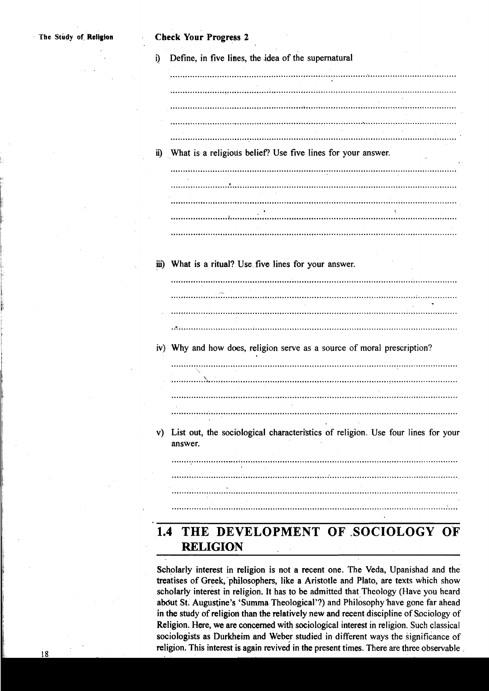|  |                                                                                                                                                                                                                                                                                                                                                                                                                                                                                                                                             | Define, in five lines, the idea of the supernatural |  |  |
|--|---------------------------------------------------------------------------------------------------------------------------------------------------------------------------------------------------------------------------------------------------------------------------------------------------------------------------------------------------------------------------------------------------------------------------------------------------------------------------------------------------------------------------------------------|-----------------------------------------------------|--|--|
|  |                                                                                                                                                                                                                                                                                                                                                                                                                                                                                                                                             |                                                     |  |  |
|  |                                                                                                                                                                                                                                                                                                                                                                                                                                                                                                                                             |                                                     |  |  |
|  |                                                                                                                                                                                                                                                                                                                                                                                                                                                                                                                                             |                                                     |  |  |
|  |                                                                                                                                                                                                                                                                                                                                                                                                                                                                                                                                             |                                                     |  |  |
|  |                                                                                                                                                                                                                                                                                                                                                                                                                                                                                                                                             |                                                     |  |  |
|  |                                                                                                                                                                                                                                                                                                                                                                                                                                                                                                                                             |                                                     |  |  |
|  |                                                                                                                                                                                                                                                                                                                                                                                                                                                                                                                                             |                                                     |  |  |
|  |                                                                                                                                                                                                                                                                                                                                                                                                                                                                                                                                             |                                                     |  |  |
|  | ii) What is a religious belief? Use five lines for your answer.                                                                                                                                                                                                                                                                                                                                                                                                                                                                             |                                                     |  |  |
|  |                                                                                                                                                                                                                                                                                                                                                                                                                                                                                                                                             |                                                     |  |  |
|  |                                                                                                                                                                                                                                                                                                                                                                                                                                                                                                                                             |                                                     |  |  |
|  |                                                                                                                                                                                                                                                                                                                                                                                                                                                                                                                                             |                                                     |  |  |
|  |                                                                                                                                                                                                                                                                                                                                                                                                                                                                                                                                             |                                                     |  |  |
|  |                                                                                                                                                                                                                                                                                                                                                                                                                                                                                                                                             |                                                     |  |  |
|  | $\label{def:main} \centering \begin{minipage}{0.9\linewidth} \begin{minipage}{0.9\linewidth} \begin{minipage}{0.9\linewidth} \end{minipage} \begin{minipage}{0.9\linewidth} \begin{minipage}{0.9\linewidth} \end{minipage} \begin{minipage}{0.9\linewidth} \end{minipage} \begin{minipage}{0.9\linewidth} \end{minipage} \begin{minipage}{0.9\linewidth} \end{minipage} \begin{minipage}{0.9\linewidth} \end{minipage} \begin{minipage}{0.9\linewidth} \end{minipage} \begin{minipage}{0.9\linewidth} \end{minipage} \begin{minipage}{0.9\$ |                                                     |  |  |

iii) What is a ritual? Use five lines for your answer.



iv) Why and how does, religion serve as a source of moral prescription?

- 
- v) List out, the sociological characteristics of religion. Use four lines for your answer.

# 

# **1.4 THE DEVELOPMENT OF ,SOCIOLOGY OF RELIGION**

Scholarly interest in religion is not a recent one. The Veda, Upanishad and the treatises of Greek, philosophers, like a Aristotle and Plato, are texts which show scholarly interest in religion. It has to be admitted that Theology (Have you heard about St. Augustine's 'Summa Theological'?) and Philosophy have gone far ahead in the study of religion than the relatively new and recent discipline of Sociology of Religion. Here, we are concerned with sociological interest in religion. Such classical sociologists as Durkheim and Weber studied in different ways the significance of religion. This interest is again revived in the present times. There are three observable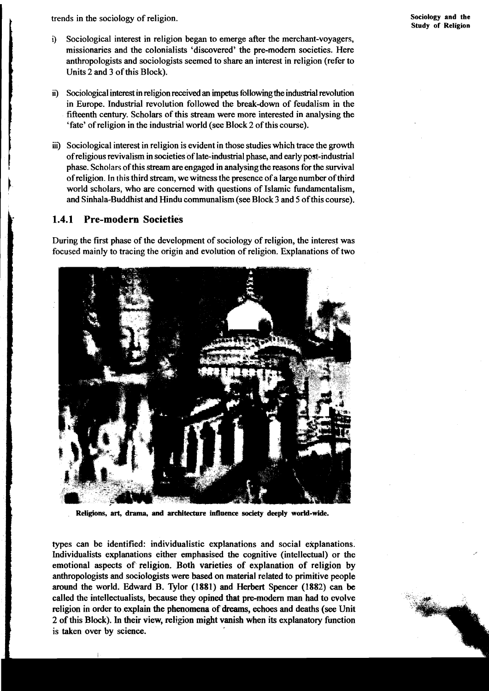**Sociology and the Study of Religion** 

trends in the sociology of religion.

- i) Sociological interest in religion began to emerge after the merchant-voyagers, missionaries and the colonialists 'discovered' the pre-modem societies. Here anthropologists and sociologists seemed to share an interest in religion (refer to Units 2 and 3 of this Block).
- iii Sociological interest in religion received an impetus following the industrial revolution in Europe. Industrial revolution followed the break-down of feudalism in the fifteenth century. Scholars of this stream were more interested in analysing the 'fate' of religion in the industrial world (see Block 2 of this course).
- ii) Sociological interest in religion is evident in those studies which trace the growth of religious revivalism in societies of late-industrial phase, and early post-industrial phase. Scholars of this stream are engaged i of religious revivalism in societies of late-industrial phase, and early post-industrial phase. Scholars of this stream are engaged in analysingthe reasons for the survival of religion. In this third stream, we witness the presence of a large number of third world scholars, who are concerned with questions of Islamic fundamentalism, and Sinhala-Buddhist and Hindu communalism (see Block 3 and **5** of this course).

**1.4.1 Pre-modern Societies I** During the first phase of the development of sociology of religion, the interest was focused mainly to tracing the origin and evolution of religion. Explanations of two



Religions, art, drama, and architecture influence society deeply world-wide.

types can be identified: individualistic explanations and social explanations. Individualists explanations either emphasised the cognitive (intellectual) or the emotional aspects of religion. Both varieties of explanation of religion by anthropologists and sociologists were based on material related to primitive people <sup>I</sup>around the world. Edward B. Tylor (1881) and Herbert Spencer (1882) **can** be called the intellectualists, because they opined that pre-modern man had to evolve religion in order to explain the phenomena of dreams, echoes and deaths **(see** Unit 2 of this Block). In their view, religion might vanish when its explanatory function is taken over by science.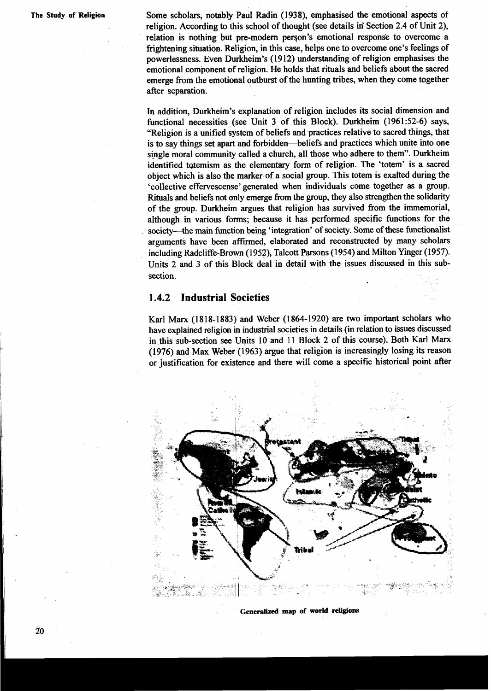**The Study of Religion** Some scholars, notably Paul Radin (1938), emphasised the emotional aspects of religion. According to this school of thought (see details in' Section 2.4 of Unit 2), relation is nothing but pre-modern person's emotional response to overcome a frightening situation. Religion, in this case, helps one to overcome one's feelings of powerlessness. Even Durkheim's (1912) understanding of religion emphasises the emotional component of religion. He holds that rituals and beliefs about the sacred emerge from the emotional outburst of the hunting tribes, when they come together after separation.

> In addition, Durkheim's explanation of religion includes its social dimension and functional necessities (see Unit 3 of this Block). Durkheim (1961:52-6) says, "Religion is a unified system of beliefs and practices relative to sacred things, that is to say things set apart and forbidden-beliefs and practices which unite into one single moral community called a church, all those who adhere to them". Durkheim identified tatemism as the elementary form of religion. The 'totem' is a sacred object which is also the marker of a social group. This totem is exalted during the 'collective effervescense' generated when individuals come together as a group. Rituals and beliefs not only emerge from the group, they also strengthen the solidarity of the group. Durkheim arpes that religion has survived from the immemorial, although in various forms; because it has performed specific functions for the society--the main function being 'integration' of society. Some of these functionalist arguments have been affirmed, elaborated and reconstructed by many scholars including Radcliffe-Brawn (l952), Talcott Parsons (1954) and Milton Yinger (1957). Units 2 and 3 of this Block deal in detail with the issues discussed in this subsection.

# **1.4.2 Industrial Societies**

Karl Marx (1818-1883) and Weber (1864-1920) are two important scholars who have explained religion in industrial societies in details (in relation to issues discussed in this sub-section see Units 10 and 11 Block 2 of this course). Both Karl Marx (1976) and Max Weber (1963) argue that religion is increasingly losing its reason or justification for existence and there will come a specific historical point after



**Generalized map of world religions**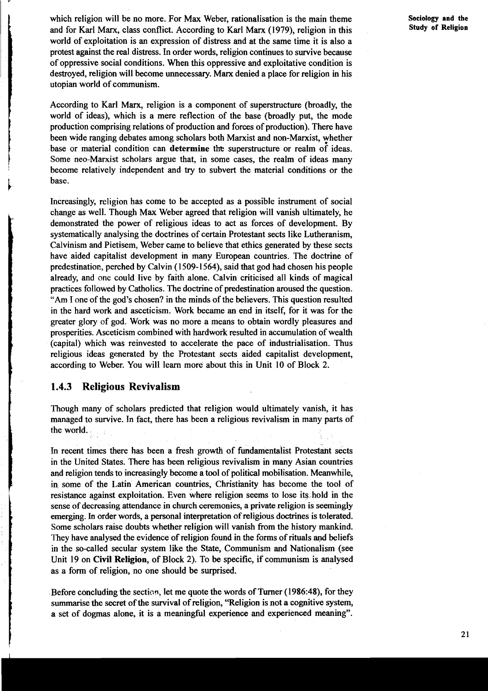which religion will be no more. For Max Weber, rationalisation is the main theme and for Karl Marx, class conflict. According to Karl Marx (1979), religion in this world of exploitation is an expression of distress and at the same time it is also a protest against the real distress. In order words, religion continues to survive because of oppressive social conditions. When this oppressive and exploitative condition is destroyed, religion will become unnecessary. Marx denied a place for religion in his utopian world of communism.

According to Karl Marx, religion is a component of superstructure (broadly, the world of ideas), which is a mere reflection of the base (broadly put, the mode production comprising relations of production and forces of production). There have been wide ranging debates among scholars both Marxist and non-Marxist, whether base or material condition can determine the superstructure or realm of ideas. Some neo-Marxist scholars argue that, in some cases, the realm of ideas many become relatively independent and try to subvert the material conditions or the **i** base.

Increasingly, religion has come to be accepted as a possible instrument of social change as well. Though Max Weber agreed that religion will vanish ultimately, he demonstrated the power of religious ideas to act as forces of development. By systematically analysing the doctrines of certain Protestant sects like Lutheranism, Calvinism and Pietisem, Weber came to believe that ethics generated by these sects have aided capitalist development in many European countries. The doctrine of predestination, perched by Calvin (1509-1564), said that god had chosen his people already, and one could live by faith alone. Calvin criticised all kinds of magical practices followed by Catholics. The doctrine of predestination aroused the question. "Am I one of the god's chosen? in the minds of the believers. This question resulted in the hard work and asceticism. Work became an end in itself, for it was for the greater glory of god. Work was no more a means to obtain wordly pleasures and prosperities. Asceticism combined with hardwork resulted in accumulation of wealth (capital) which was reinvested to accelerate the pace of industrialisation. Thus religious ideas generated by the Protestant sects aided capitalist development, according to Weber. You will learn more about this in Unit 10 of Block 2.

# **1.4.3 Religious Revivalism**

Though many of scholars predicted that religion would ultimately vanish, it has managed to survive. In fact, there has been a religious revivalism in many parts of the world.

In recent times there has been a fresh growth of fundamentalist Protestant sects in the United States. There has been religious revivalism in many Asian countries and religion tends to increasingly become a tool of political mobilisation. Meanwhile, in some of the Latin American countries, Christianity has become the tool of resistance against exploitation. Even where religion seems to lose its,hold in the sense of decreasing attendance in church ceremonies, a private religion is seemingly emerging. In order words, a personal interpretation of religious doctrines is tolerated. Some scholars raise doubts whether religion will vanish from the history mankind. They have analysed the evidence of religion found in the forms of rituals **ayd** beliefs in the so-called secular system like the **State,** Communism and Nationalism (see Unit 19 on Civil Religion, of Block 2). To be specific, if communism is analysed as a form of religion, no one should be surprised.

Before concluding the section, let me quote the words of Turner (1986:48), for they summarise the secret of the survival of religion, "Religion is not a cognitive system, a set of dogmas alone, it is a meaningful experience and experienced meaning".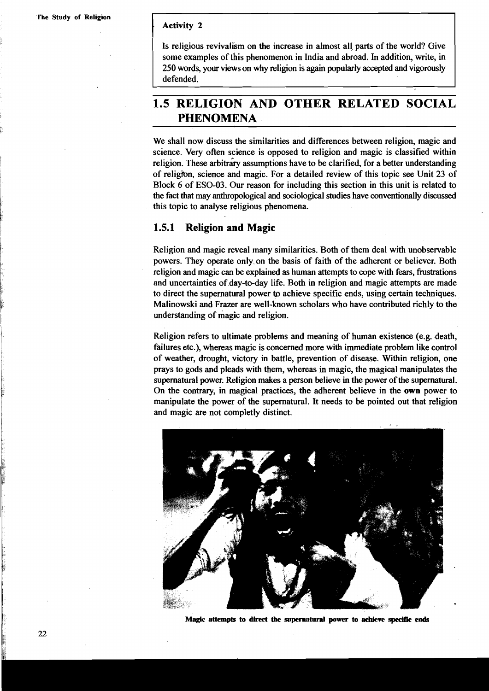## **Activity 2**

Is religious revivalism on the increase in almost all parts of the world? Give some examples of this phenomenon in India and abroad. In addition, write, in 250 words, your views on why religion is again popularly accepted and vigorously defended.

# **1.5 RELIGION AND OTHER RELATED SOCIAL PHENOMENA**

We shall now discuss the similarities and differences between religion, magic and science. Very often science is opposed to religion and magic is classified within religion. These arbitrary assumptions have to be clarified, for a better understanding of religibn, science and magic. For a detailed review of this topic see Unit 23 of Block 6 of ESO-03. Our reason for including this section in this unit is related to the fact that may anthropological and sociological studies have conventionally discussed this topic to analyse religious phenomena.

# **1.5.1 Religion and Magic**

Religion and magic reveal many similarities. Both of them deal with unobservable powers. They operate only.on the basis of faith of the adherent or believer. Both religion and magic can be explained as human attempts to cope with fears, frustrations and uncertainties of day-to-day life. Both in religion and magic attempts are made to direct the supernatural power **to** achieve specific ends, using certain techniques. Malinowski and Frazer are well-known scholars who have contributed richly to the understanding of magic and religion.

Religion refers to ultimate problems and meaning of human existence (e.g. death, failures etc.), whereas magic is concerned more with immediate problem like control of weather, drought, victory in battle, prevention of disease. Within religion, one prays to gods and pleads with them, whereas in magic, the magical manipulates the supernatural power. Religion makes a person believe in the power of the supernatural. On the contrary, in magical practices, the adherent believe in the own power to manipulate the power of the supernatural. It needs to be pointed out that religion and magic are not completly distinct.



**Magic attempts to direct the supernatural power to achieve specific ends**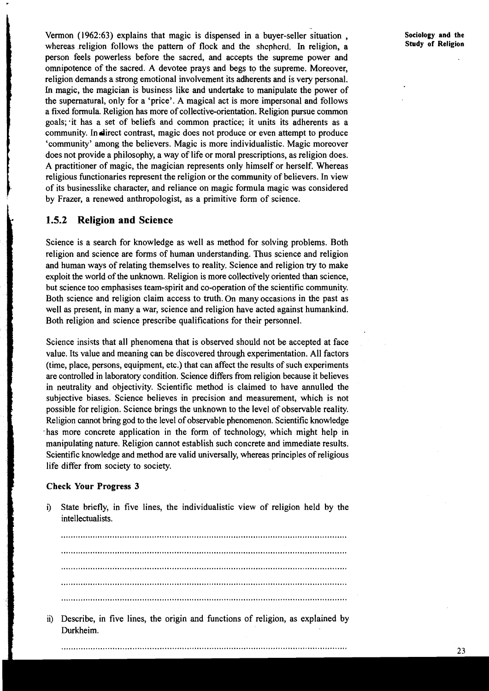Vermon (1962:63) explains that magic is dispensed in a buyer-seller situation , whereas religion follows the pattern of flock and the **shcphcrd.** In religion, a person feels powerless before the sacred, and accepts the supreme power and omnipotence of the sacred. A devotee prays and begs to the supreme. Moreover, religion demands a strong emotional involvement its adherents and is very personal. In magic, the magician is business like and undertake to manipulate the power of the supernatural, only for a 'price'. A magical act is more impersonal and follows a fixed formula. Religion has more of collective-orientation. Religion pursue common goals; it has a set of beliefs and common practice; it units its adherents as a community. In direct contrast, magic does not produce or even attempt to produce 'community' among the believers. Magic is more individualistic. Magic moreover does not provide a philosophy, a way of life or moral prescriptions, as religion does. A practitioner of magic, the magician represents only himself or herself. Whereas religious functionaries represent the religion or the community of believers. In view of its businesslike character, and reliance on magic formula magic was considered by Frazer, a renewed anthropologist, as a primitive form of science.

# **1.5.2 Religion and Science**

Science is a search for knowledge as well as method for solving problems. Both religion and science are forms of human understanding. Thus science and religion and human ways of relating themselves to reality. Science and religion try to make exploit the world of the unknown. Religion is more collectively oriented than science, but science too emphasises team-spirit and co-operation of the scientific community. Both science and religion claim access to truth. On many occasions in the past as well as present, in many a war, science and religion have acted against humankind. Both religion and science prescribe qualifications for their personnel.

Science insists that all phenomena that is observed should not be accepted at face value. Its value and meaning can be discovered through experimentation. All factors (time, place, persons, equipment, etc.) that can affect the results of such experiments are controlled in laboratory condition. Science differs from religion because it believes in neutrality and objectivity. Scientific method is claimed to have annulled the subjective biases. Science believes in precision and measurement, which is not possible for religion. Science brings the unknown to the level of observable reality. Religion cannot bring god to the level of observable phenomenon. Scientific knowledge has more concrete application in the form of technology, which might help in manipulating nature. Religion cannot establish such concrete and immediate results. Scientific knowledge and method are valid universally, whereas principles of religious life differ from society to society.

### **Check Your Progress 3**

i) State briefly, in five lines, the individualistic view of religion held by the intellectualists.

ii) Describe, in five lines, the origin and functions of religion, as explained by Durkheim.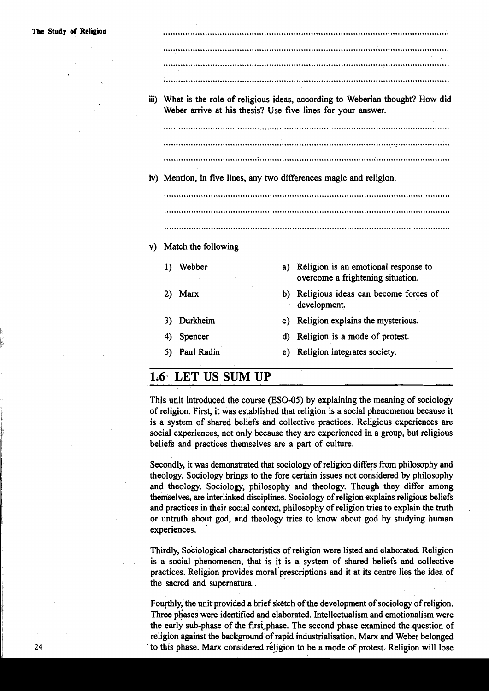| The Study of Religion |                                                                     |    |                                                                                                                                                 |
|-----------------------|---------------------------------------------------------------------|----|-------------------------------------------------------------------------------------------------------------------------------------------------|
|                       |                                                                     |    |                                                                                                                                                 |
|                       |                                                                     |    |                                                                                                                                                 |
|                       |                                                                     |    |                                                                                                                                                 |
|                       |                                                                     |    | iii) What is the role of religious ideas, according to Weberian thought? How did<br>Weber arrive at his thesis? Use five lines for your answer. |
|                       |                                                                     |    |                                                                                                                                                 |
|                       |                                                                     |    |                                                                                                                                                 |
|                       |                                                                     |    |                                                                                                                                                 |
|                       |                                                                     |    |                                                                                                                                                 |
|                       | iv) Mention, in five lines, any two differences magic and religion. |    |                                                                                                                                                 |
|                       |                                                                     |    |                                                                                                                                                 |
|                       |                                                                     |    |                                                                                                                                                 |
|                       |                                                                     |    |                                                                                                                                                 |
|                       | v) Match the following                                              |    |                                                                                                                                                 |
|                       | Webber<br>1)                                                        | a) | Religion is an emotional response to<br>overcome a frightening situation.                                                                       |
|                       | Marx<br>2)                                                          | b) | Religious ideas can become forces of<br>development.                                                                                            |
|                       | Durkheim<br>3)                                                      | C) | Religion explains the mysterious.                                                                                                               |
|                       | Spencer<br>4)                                                       | d) | Religion is a mode of protest.                                                                                                                  |

# **1.6. LET US SUM UP**

This unit introduced the course (ESO-05) by explaining the meaning of sociology of religion. First, it was established that religion is a social phenomenon because it is a system of shared beliefs and collective practices. Religious experiences are social experiences, not only because they are experienced in a group, but religious beliefs and practices themselves are a part of culture.

Secondly, it was demonstrated that sociology of religion differs fiom philosophy and theology. Sociology brings to the fore certain issues not considered by philosophy and theoiogy. Sociology, philosophy and theology. Though they differ among theniselves, are interlinked disciplines. Sociology of religion explains religious beliefs and practices in their social context, philosophy of religion tries to explain the truth or untruth about god, and theology tries to know about god by studying human experiences.

Thirdly, Sociological characteristics of religion were listed and elaborated. Religion is a social phenomenon, that is it is a system of shared beliefs and collective practices. Religion provides moral'prescriptions and it at its centre lies the idea of the sacred and supernatural.

Fourthly, the unit provided a brief sketch of the development of sociology of religion. Three phases were identified and elaborated. Intellectualism and emotionalism were the early sub-phase of the firsi,phase. The second phase examined the question of religion against the background of rapid industrialisation. Marx and Weber belonged ' to this phase. Marx considered religion to be a mode of protest. Religion will lose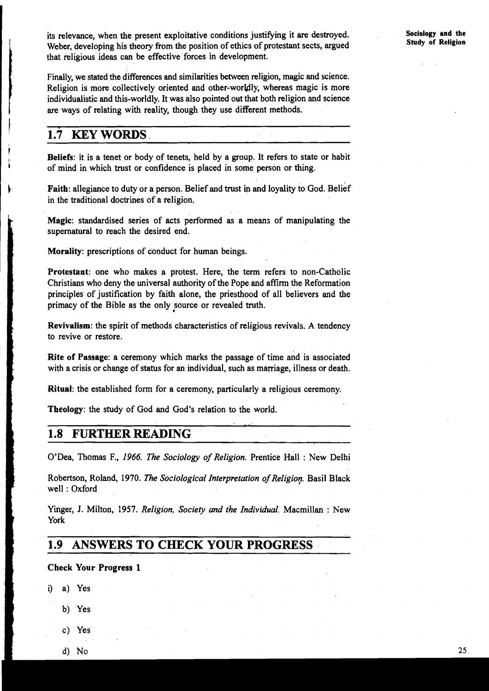its relevance, when the present exploitative conditions justifying it **ate** destroyed. Weber, developing his theory from the position of ethics of protestant sects, argued that religious ideas can be effective forces in development.

Finally, we stated the differences and similarities between religion, magic and science.<br>Religion is more collectively oriented and other-worldly, whereas magic is more<br>individualistic and this-worldly. It was also pointed Religion is more collectively oriented and other-worldly, whereas magic is more individualistic and this-worldly. It was also pointed out that both religion and science are ways of relating with reality, though they use different methods.

# I **1.7 KEY WORDS**

Beliefs: it is a tenet or body of tenets, held by a group. It refers to state or habit of mind in which trust or confidence is placed in some person or thing.

Faith: allegiance to duty or a person. Belief and trust in and loyality to God. Belief in the traditional doctrines of a religion.

**Magic:** standardised series of acts performed as a means of manipulating the supernatural to reach the desired end.

**Morality:** prescriptions of conduct for human beings.

**Protestant:** one who makes a protest. Here, the term refers to non-Catholic Christians who deny the universal authority of the Pope and affirm the Reformation principles of justification by faith alone, the priesthood of all believers and the primacy of the Bible as the only source or revealed truth.

**Revivalism:** the spirit of methods characteristics of religious revivals. A tendency to revive or restore.

**Rite of Passage:** a ceremony which marks the passage of time and is associated with a crisis or change of status for an individual, such as marriage, illness or death.

**Ritual:** the established form for a ceremony, particularly a religious ceremony.

Theology: the study of God and God's relation to the world. Theology: the study of God and God's relation to the world.<br> **1.8 FURTHER READING** 

O'Dea, Thomas **F,,** 1966. *The Sociology of Religion.* Prentice Hall : New Delhi

Robertson, Roland, 1970. *The Sociological Interpretation of Religion*. Basil Black well : Oxford

Yinger, J. Milton, 1957. *Religion, Society and the Individual.* Macmillan : New Yinge<br>
York<br>
1.9<br>
Chec

# **1.9 ANSWERS TO CHECK YOUR PROGRESS**

# Check Your Progress 1<br>
i) a) Yes<br>
b) Yes<br>
c) Yes<br>
d) No

- i) a) Yes
	- b) Yes
	- c) Yes
	- **d)** No